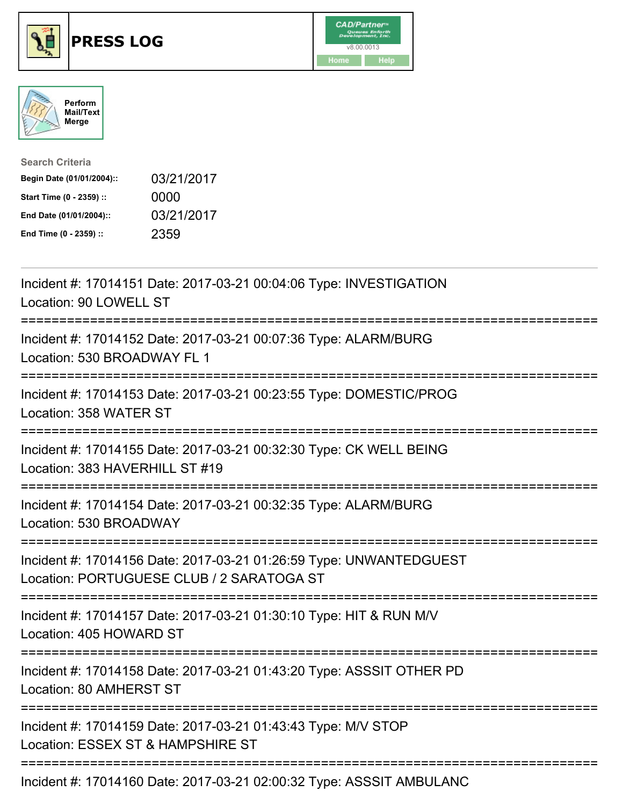

## **PRESS LOG** v8.00.0013





| <b>Search Criteria</b>    |            |
|---------------------------|------------|
| Begin Date (01/01/2004):: | 03/21/2017 |
| Start Time (0 - 2359) ::  | 0000       |
| End Date (01/01/2004)::   | 03/21/2017 |
| End Time (0 - 2359) ::    | 2359       |

Incident #: 17014151 Date: 2017-03-21 00:04:06 Type: INVESTIGATION Location: 90 LOWELL ST =========================================================================== Incident #: 17014152 Date: 2017-03-21 00:07:36 Type: ALARM/BURG Location: 530 BROADWAY FL 1 =========================================================================== Incident #: 17014153 Date: 2017-03-21 00:23:55 Type: DOMESTIC/PROG Location: 358 WATER ST =========================================================================== Incident #: 17014155 Date: 2017-03-21 00:32:30 Type: CK WELL BEING Location: 383 HAVERHILL ST #19 =========================================================================== Incident #: 17014154 Date: 2017-03-21 00:32:35 Type: ALARM/BURG Location: 530 BROADWAY =========================================================================== Incident #: 17014156 Date: 2017-03-21 01:26:59 Type: UNWANTEDGUEST Location: PORTUGUESE CLUB / 2 SARATOGA ST =========================================================================== Incident #: 17014157 Date: 2017-03-21 01:30:10 Type: HIT & RUN M/V Location: 405 HOWARD ST =========================================================================== Incident #: 17014158 Date: 2017-03-21 01:43:20 Type: ASSSIT OTHER PD Location: 80 AMHERST ST =========================================================================== Incident #: 17014159 Date: 2017-03-21 01:43:43 Type: M/V STOP Location: ESSEX ST & HAMPSHIRE ST ===========================================================================

Incident #: 17014160 Date: 2017-03-21 02:00:32 Type: ASSSIT AMBULANC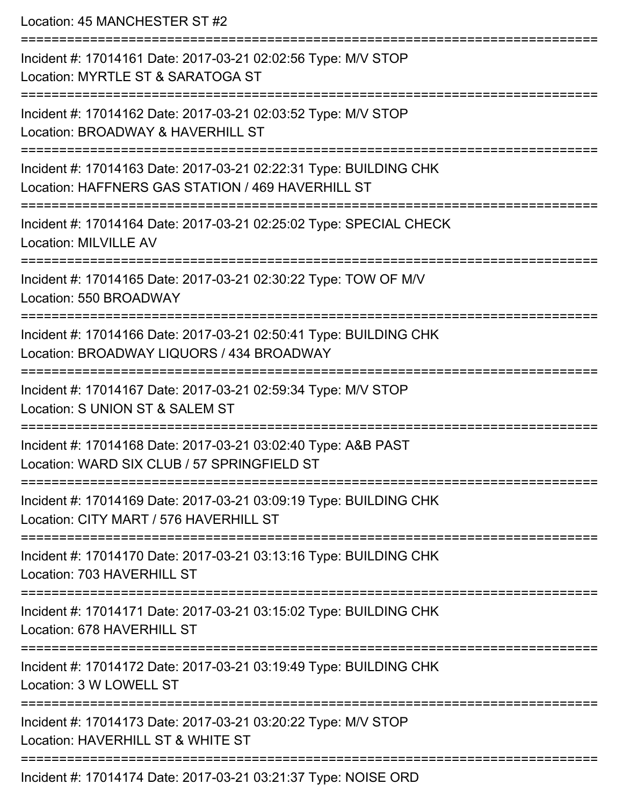Location: 45 MANCHESTER ST #2

| Incident #: 17014161 Date: 2017-03-21 02:02:56 Type: M/V STOP<br>Location: MYRTLE ST & SARATOGA ST                     |
|------------------------------------------------------------------------------------------------------------------------|
| Incident #: 17014162 Date: 2017-03-21 02:03:52 Type: M/V STOP<br>Location: BROADWAY & HAVERHILL ST                     |
| Incident #: 17014163 Date: 2017-03-21 02:22:31 Type: BUILDING CHK<br>Location: HAFFNERS GAS STATION / 469 HAVERHILL ST |
| Incident #: 17014164 Date: 2017-03-21 02:25:02 Type: SPECIAL CHECK<br><b>Location: MILVILLE AV</b>                     |
| Incident #: 17014165 Date: 2017-03-21 02:30:22 Type: TOW OF M/V<br>Location: 550 BROADWAY                              |
| Incident #: 17014166 Date: 2017-03-21 02:50:41 Type: BUILDING CHK<br>Location: BROADWAY LIQUORS / 434 BROADWAY         |
| Incident #: 17014167 Date: 2017-03-21 02:59:34 Type: M/V STOP<br>Location: S UNION ST & SALEM ST                       |
| Incident #: 17014168 Date: 2017-03-21 03:02:40 Type: A&B PAST<br>Location: WARD SIX CLUB / 57 SPRINGFIELD ST           |
| Incident #: 17014169 Date: 2017-03-21 03:09:19 Type: BUILDING CHK<br>Location: CITY MART / 576 HAVERHILL ST            |
| Incident #: 17014170 Date: 2017-03-21 03:13:16 Type: BUILDING CHK<br>Location: 703 HAVERHILL ST                        |
| Incident #: 17014171 Date: 2017-03-21 03:15:02 Type: BUILDING CHK<br>Location: 678 HAVERHILL ST                        |
| Incident #: 17014172 Date: 2017-03-21 03:19:49 Type: BUILDING CHK<br>Location: 3 W LOWELL ST                           |
| Incident #: 17014173 Date: 2017-03-21 03:20:22 Type: M/V STOP<br>Location: HAVERHILL ST & WHITE ST                     |
| Incident #: 17014174 Date: 2017-03-21 03:21:37 Type: NOISE ORD                                                         |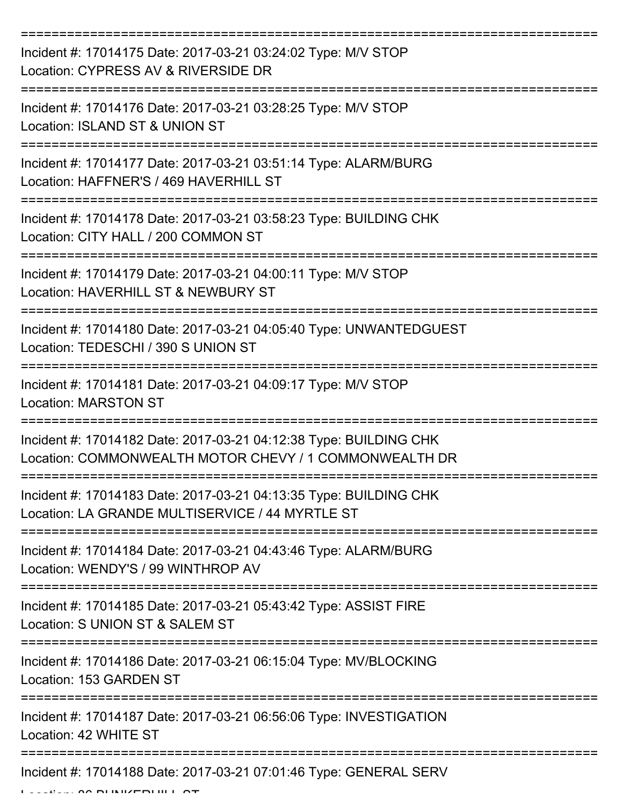| Incident #: 17014175 Date: 2017-03-21 03:24:02 Type: M/V STOP<br>Location: CYPRESS AV & RIVERSIDE DR                          |
|-------------------------------------------------------------------------------------------------------------------------------|
| Incident #: 17014176 Date: 2017-03-21 03:28:25 Type: M/V STOP<br>Location: ISLAND ST & UNION ST                               |
| Incident #: 17014177 Date: 2017-03-21 03:51:14 Type: ALARM/BURG<br>Location: HAFFNER'S / 469 HAVERHILL ST                     |
| Incident #: 17014178 Date: 2017-03-21 03:58:23 Type: BUILDING CHK<br>Location: CITY HALL / 200 COMMON ST                      |
| Incident #: 17014179 Date: 2017-03-21 04:00:11 Type: M/V STOP<br>Location: HAVERHILL ST & NEWBURY ST                          |
| :===============<br>Incident #: 17014180 Date: 2017-03-21 04:05:40 Type: UNWANTEDGUEST<br>Location: TEDESCHI / 390 S UNION ST |
| Incident #: 17014181 Date: 2017-03-21 04:09:17 Type: M/V STOP<br><b>Location: MARSTON ST</b>                                  |
| Incident #: 17014182 Date: 2017-03-21 04:12:38 Type: BUILDING CHK<br>Location: COMMONWEALTH MOTOR CHEVY / 1 COMMONWEALTH DR   |
| Incident #: 17014183 Date: 2017-03-21 04:13:35 Type: BUILDING CHK<br>Location: LA GRANDE MULTISERVICE / 44 MYRTLE ST          |
| Incident #: 17014184 Date: 2017-03-21 04:43:46 Type: ALARM/BURG<br>Location: WENDY'S / 99 WINTHROP AV                         |
| Incident #: 17014185 Date: 2017-03-21 05:43:42 Type: ASSIST FIRE<br>Location: S UNION ST & SALEM ST                           |
| Incident #: 17014186 Date: 2017-03-21 06:15:04 Type: MV/BLOCKING<br>Location: 153 GARDEN ST                                   |
| Incident #: 17014187 Date: 2017-03-21 06:56:06 Type: INVESTIGATION<br>Location: 42 WHITE ST                                   |
| Incident #: 17014188 Date: 2017-03-21 07:01:46 Type: GENERAL SERV                                                             |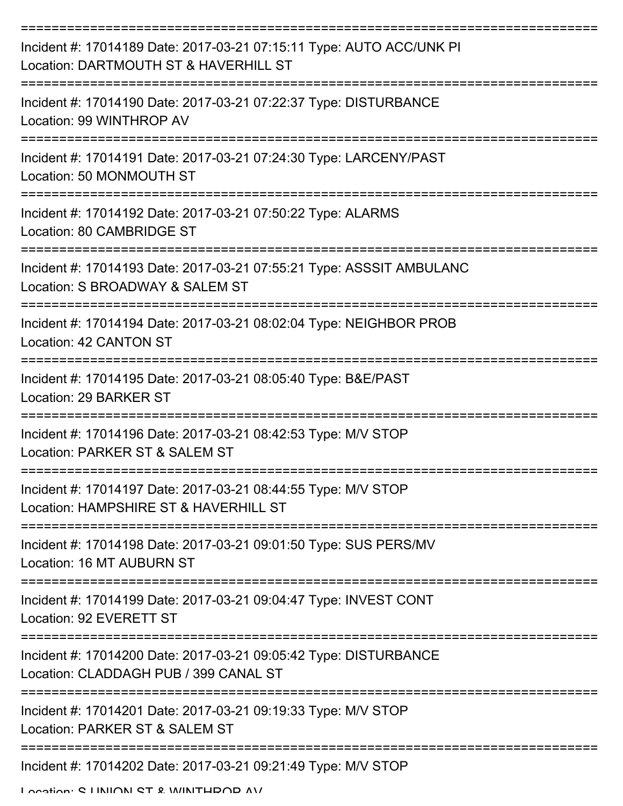| Incident #: 17014189 Date: 2017-03-21 07:15:11 Type: AUTO ACC/UNK PI<br>Location: DARTMOUTH ST & HAVERHILL ST |
|---------------------------------------------------------------------------------------------------------------|
| Incident #: 17014190 Date: 2017-03-21 07:22:37 Type: DISTURBANCE<br>Location: 99 WINTHROP AV                  |
| Incident #: 17014191 Date: 2017-03-21 07:24:30 Type: LARCENY/PAST<br>Location: 50 MONMOUTH ST                 |
| Incident #: 17014192 Date: 2017-03-21 07:50:22 Type: ALARMS<br>Location: 80 CAMBRIDGE ST                      |
| Incident #: 17014193 Date: 2017-03-21 07:55:21 Type: ASSSIT AMBULANC<br>Location: S BROADWAY & SALEM ST       |
| Incident #: 17014194 Date: 2017-03-21 08:02:04 Type: NEIGHBOR PROB<br>Location: 42 CANTON ST                  |
| Incident #: 17014195 Date: 2017-03-21 08:05:40 Type: B&E/PAST<br>Location: 29 BARKER ST                       |
| Incident #: 17014196 Date: 2017-03-21 08:42:53 Type: M/V STOP<br>Location: PARKER ST & SALEM ST               |
| Incident #: 17014197 Date: 2017-03-21 08:44:55 Type: M/V STOP<br>Location: HAMPSHIRE ST & HAVERHILL ST        |
| Incident #: 17014198 Date: 2017-03-21 09:01:50 Type: SUS PERS/MV<br>Location: 16 MT AUBURN ST                 |
| Incident #: 17014199 Date: 2017-03-21 09:04:47 Type: INVEST CONT<br>Location: 92 EVERETT ST                   |
| Incident #: 17014200 Date: 2017-03-21 09:05:42 Type: DISTURBANCE<br>Location: CLADDAGH PUB / 399 CANAL ST     |
| Incident #: 17014201 Date: 2017-03-21 09:19:33 Type: M/V STOP<br>Location: PARKER ST & SALEM ST               |
| Incident #: 17014202 Date: 2017-03-21 09:21:49 Type: M/V STOP<br>I occion: C I INIIONI CT & IMINITUDOD AV     |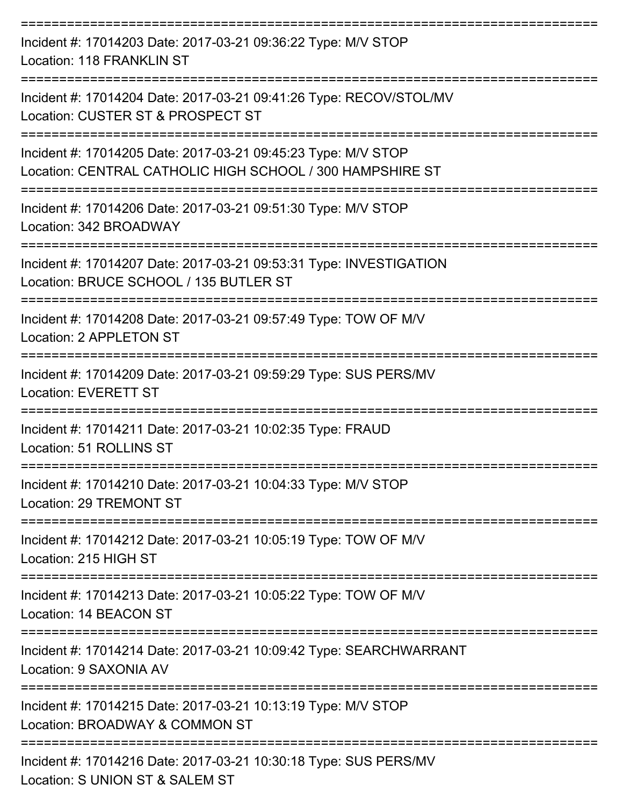| Incident #: 17014203 Date: 2017-03-21 09:36:22 Type: M/V STOP<br><b>Location: 118 FRANKLIN ST</b>                          |
|----------------------------------------------------------------------------------------------------------------------------|
| Incident #: 17014204 Date: 2017-03-21 09:41:26 Type: RECOV/STOL/MV<br>Location: CUSTER ST & PROSPECT ST                    |
| Incident #: 17014205 Date: 2017-03-21 09:45:23 Type: M/V STOP<br>Location: CENTRAL CATHOLIC HIGH SCHOOL / 300 HAMPSHIRE ST |
| Incident #: 17014206 Date: 2017-03-21 09:51:30 Type: M/V STOP<br>Location: 342 BROADWAY                                    |
| Incident #: 17014207 Date: 2017-03-21 09:53:31 Type: INVESTIGATION<br>Location: BRUCE SCHOOL / 135 BUTLER ST               |
| Incident #: 17014208 Date: 2017-03-21 09:57:49 Type: TOW OF M/V<br>Location: 2 APPLETON ST                                 |
| Incident #: 17014209 Date: 2017-03-21 09:59:29 Type: SUS PERS/MV<br><b>Location: EVERETT ST</b>                            |
| Incident #: 17014211 Date: 2017-03-21 10:02:35 Type: FRAUD<br>Location: 51 ROLLINS ST                                      |
| Incident #: 17014210 Date: 2017-03-21 10:04:33 Type: M/V STOP<br>Location: 29 TREMONT ST                                   |
| ----------------<br>Incident #: 17014212 Date: 2017-03-21 10:05:19 Type: TOW OF M/V<br>Location: 215 HIGH ST               |
| Incident #: 17014213 Date: 2017-03-21 10:05:22 Type: TOW OF M/V<br>Location: 14 BEACON ST                                  |
| Incident #: 17014214 Date: 2017-03-21 10:09:42 Type: SEARCHWARRANT<br>Location: 9 SAXONIA AV                               |
| Incident #: 17014215 Date: 2017-03-21 10:13:19 Type: M/V STOP<br>Location: BROADWAY & COMMON ST                            |
| Incident #: 17014216 Date: 2017-03-21 10:30:18 Type: SUS PERS/MV<br>Location: S UNION ST & SALEM ST                        |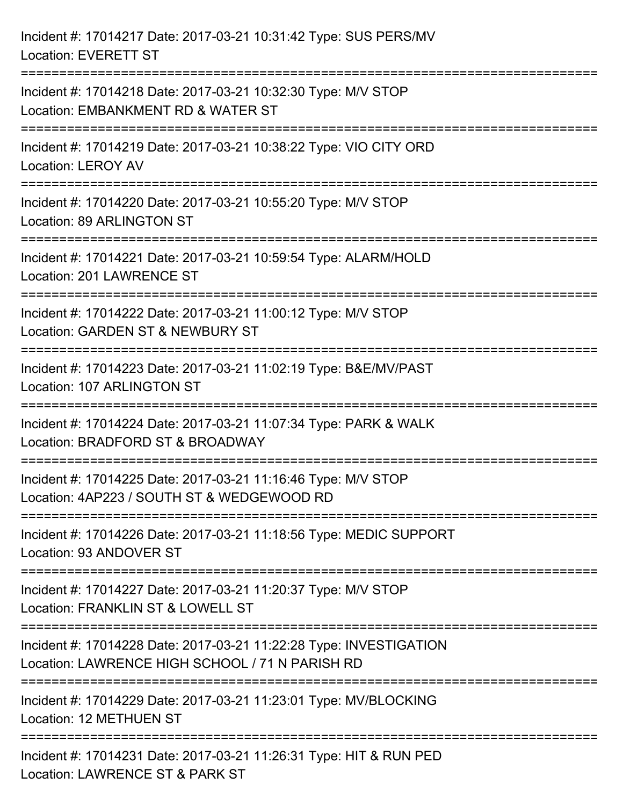| Incident #: 17014217 Date: 2017-03-21 10:31:42 Type: SUS PERS/MV<br><b>Location: EVERETT ST</b>                                   |
|-----------------------------------------------------------------------------------------------------------------------------------|
| Incident #: 17014218 Date: 2017-03-21 10:32:30 Type: M/V STOP<br>Location: EMBANKMENT RD & WATER ST                               |
| Incident #: 17014219 Date: 2017-03-21 10:38:22 Type: VIO CITY ORD<br><b>Location: LEROY AV</b><br>=============================   |
| Incident #: 17014220 Date: 2017-03-21 10:55:20 Type: M/V STOP<br>Location: 89 ARLINGTON ST<br>=================================== |
| Incident #: 17014221 Date: 2017-03-21 10:59:54 Type: ALARM/HOLD<br>Location: 201 LAWRENCE ST                                      |
| Incident #: 17014222 Date: 2017-03-21 11:00:12 Type: M/V STOP<br>Location: GARDEN ST & NEWBURY ST                                 |
| :===========================<br>Incident #: 17014223 Date: 2017-03-21 11:02:19 Type: B&E/MV/PAST<br>Location: 107 ARLINGTON ST    |
| Incident #: 17014224 Date: 2017-03-21 11:07:34 Type: PARK & WALK<br>Location: BRADFORD ST & BROADWAY                              |
| Incident #: 17014225 Date: 2017-03-21 11:16:46 Type: M/V STOP<br>Location: 4AP223 / SOUTH ST & WEDGEWOOD RD                       |
| Incident #: 17014226 Date: 2017-03-21 11:18:56 Type: MEDIC SUPPORT<br>Location: 93 ANDOVER ST                                     |
| Incident #: 17014227 Date: 2017-03-21 11:20:37 Type: M/V STOP<br>Location: FRANKLIN ST & LOWELL ST                                |
| Incident #: 17014228 Date: 2017-03-21 11:22:28 Type: INVESTIGATION<br>Location: LAWRENCE HIGH SCHOOL / 71 N PARISH RD             |
| Incident #: 17014229 Date: 2017-03-21 11:23:01 Type: MV/BLOCKING<br>Location: 12 METHUEN ST                                       |
| Incident #: 17014231 Date: 2017-03-21 11:26:31 Type: HIT & RUN PED<br>Location: LAWRENCE ST & PARK ST                             |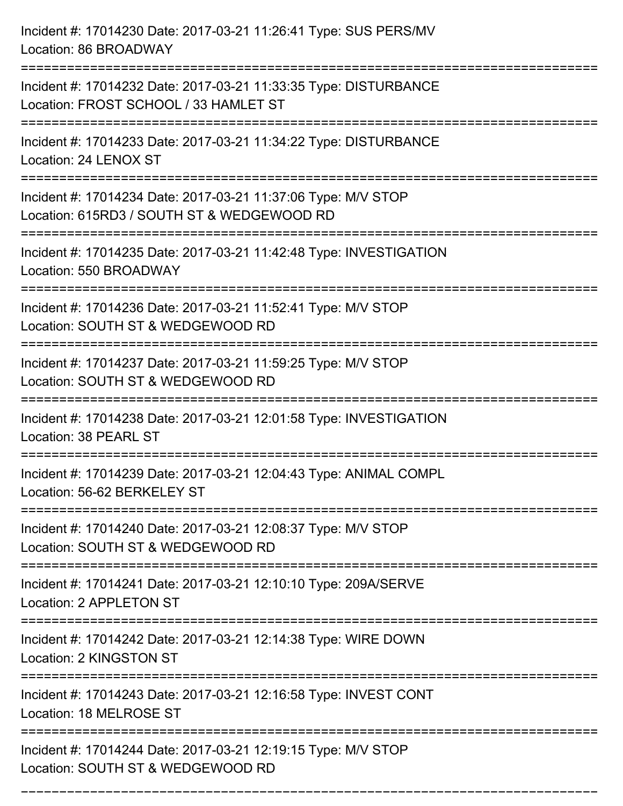| Incident #: 17014230 Date: 2017-03-21 11:26:41 Type: SUS PERS/MV<br>Location: 86 BROADWAY                                  |
|----------------------------------------------------------------------------------------------------------------------------|
| Incident #: 17014232 Date: 2017-03-21 11:33:35 Type: DISTURBANCE<br>Location: FROST SCHOOL / 33 HAMLET ST                  |
| Incident #: 17014233 Date: 2017-03-21 11:34:22 Type: DISTURBANCE<br>Location: 24 LENOX ST                                  |
| Incident #: 17014234 Date: 2017-03-21 11:37:06 Type: M/V STOP<br>Location: 615RD3 / SOUTH ST & WEDGEWOOD RD                |
| Incident #: 17014235 Date: 2017-03-21 11:42:48 Type: INVESTIGATION<br>Location: 550 BROADWAY                               |
| Incident #: 17014236 Date: 2017-03-21 11:52:41 Type: M/V STOP<br>Location: SOUTH ST & WEDGEWOOD RD                         |
| Incident #: 17014237 Date: 2017-03-21 11:59:25 Type: M/V STOP<br>Location: SOUTH ST & WEDGEWOOD RD<br>==================== |
| Incident #: 17014238 Date: 2017-03-21 12:01:58 Type: INVESTIGATION<br>Location: 38 PEARL ST                                |
| Incident #: 17014239 Date: 2017-03-21 12:04:43 Type: ANIMAL COMPL<br>Location: 56-62 BERKELEY ST                           |
| Incident #: 17014240 Date: 2017-03-21 12:08:37 Type: M/V STOP<br>Location: SOUTH ST & WEDGEWOOD RD                         |
| Incident #: 17014241 Date: 2017-03-21 12:10:10 Type: 209A/SERVE<br>Location: 2 APPLETON ST                                 |
| Incident #: 17014242 Date: 2017-03-21 12:14:38 Type: WIRE DOWN<br>Location: 2 KINGSTON ST                                  |
| Incident #: 17014243 Date: 2017-03-21 12:16:58 Type: INVEST CONT<br>Location: 18 MELROSE ST                                |
| Incident #: 17014244 Date: 2017-03-21 12:19:15 Type: M/V STOP<br>Location: SOUTH ST & WEDGEWOOD RD                         |

===========================================================================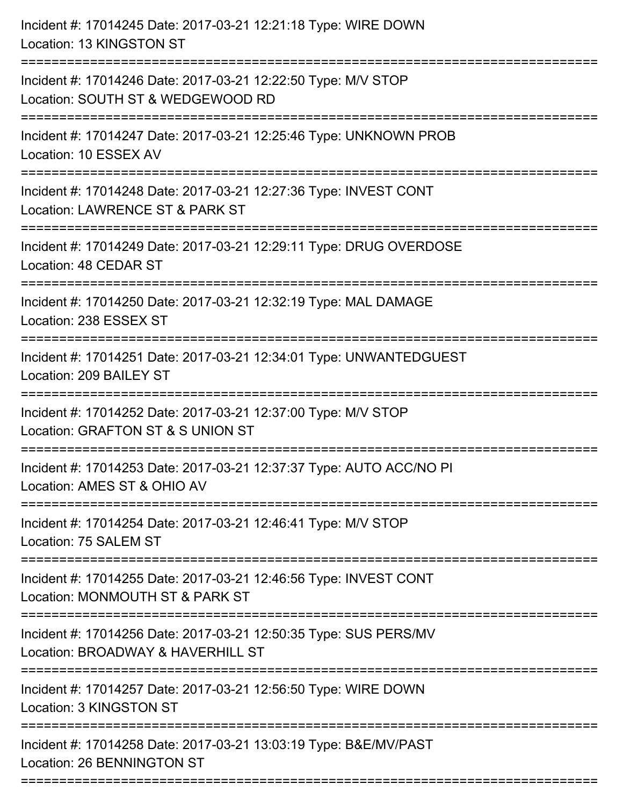| Incident #: 17014245 Date: 2017-03-21 12:21:18 Type: WIRE DOWN<br>Location: 13 KINGSTON ST                                            |
|---------------------------------------------------------------------------------------------------------------------------------------|
| Incident #: 17014246 Date: 2017-03-21 12:22:50 Type: M/V STOP<br>Location: SOUTH ST & WEDGEWOOD RD                                    |
| Incident #: 17014247 Date: 2017-03-21 12:25:46 Type: UNKNOWN PROB<br>Location: 10 ESSEX AV                                            |
| Incident #: 17014248 Date: 2017-03-21 12:27:36 Type: INVEST CONT<br>Location: LAWRENCE ST & PARK ST                                   |
| Incident #: 17014249 Date: 2017-03-21 12:29:11 Type: DRUG OVERDOSE<br>Location: 48 CEDAR ST                                           |
| Incident #: 17014250 Date: 2017-03-21 12:32:19 Type: MAL DAMAGE<br>Location: 238 ESSEX ST                                             |
| Incident #: 17014251 Date: 2017-03-21 12:34:01 Type: UNWANTEDGUEST<br>Location: 209 BAILEY ST                                         |
| Incident #: 17014252 Date: 2017-03-21 12:37:00 Type: M/V STOP<br>Location: GRAFTON ST & S UNION ST                                    |
| Incident #: 17014253 Date: 2017-03-21 12:37:37 Type: AUTO ACC/NO PI<br>Location: AMES ST & OHIO AV                                    |
| Incident #: 17014254 Date: 2017-03-21 12:46:41 Type: M/V STOP<br>Location: 75 SALEM ST                                                |
| Incident #: 17014255 Date: 2017-03-21 12:46:56 Type: INVEST CONT<br>Location: MONMOUTH ST & PARK ST                                   |
| Incident #: 17014256 Date: 2017-03-21 12:50:35 Type: SUS PERS/MV<br>Location: BROADWAY & HAVERHILL ST                                 |
| ---------------------------------<br>Incident #: 17014257 Date: 2017-03-21 12:56:50 Type: WIRE DOWN<br><b>Location: 3 KINGSTON ST</b> |
| Incident #: 17014258 Date: 2017-03-21 13:03:19 Type: B&E/MV/PAST<br>Location: 26 BENNINGTON ST                                        |
|                                                                                                                                       |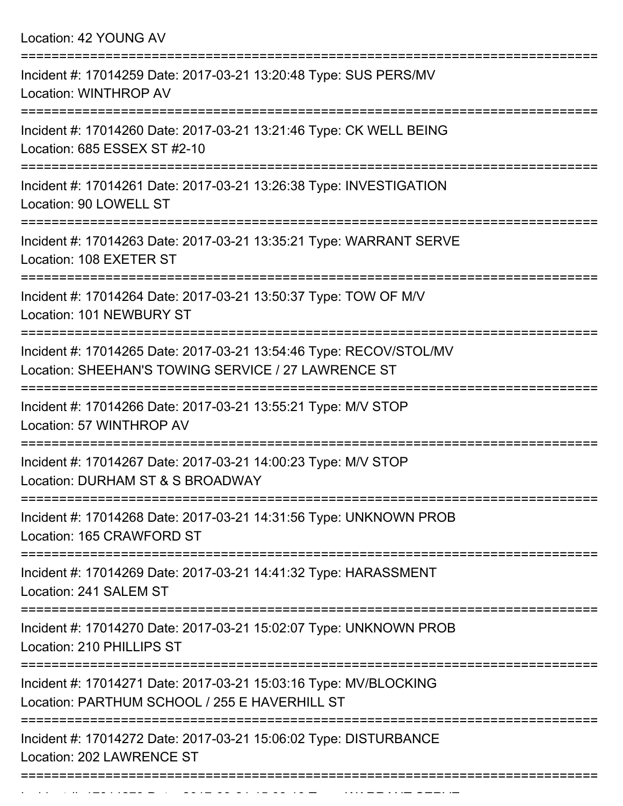|  |  | Location: 42 YOUNG AV |  |
|--|--|-----------------------|--|
|--|--|-----------------------|--|

| Incident #: 17014259 Date: 2017-03-21 13:20:48 Type: SUS PERS/MV<br>Location: WINTHROP AV                                 |
|---------------------------------------------------------------------------------------------------------------------------|
| Incident #: 17014260 Date: 2017-03-21 13:21:46 Type: CK WELL BEING<br>Location: 685 ESSEX ST #2-10                        |
| Incident #: 17014261 Date: 2017-03-21 13:26:38 Type: INVESTIGATION<br>Location: 90 LOWELL ST                              |
| Incident #: 17014263 Date: 2017-03-21 13:35:21 Type: WARRANT SERVE<br>Location: 108 EXETER ST                             |
| Incident #: 17014264 Date: 2017-03-21 13:50:37 Type: TOW OF M/V<br>Location: 101 NEWBURY ST                               |
| Incident #: 17014265 Date: 2017-03-21 13:54:46 Type: RECOV/STOL/MV<br>Location: SHEEHAN'S TOWING SERVICE / 27 LAWRENCE ST |
| Incident #: 17014266 Date: 2017-03-21 13:55:21 Type: M/V STOP<br>Location: 57 WINTHROP AV                                 |
| =========<br>Incident #: 17014267 Date: 2017-03-21 14:00:23 Type: M/V STOP<br>Location: DURHAM ST & S BROADWAY            |
| Incident #: 17014268 Date: 2017-03-21 14:31:56 Type: UNKNOWN PROB<br>Location: 165 CRAWFORD ST                            |
| Incident #: 17014269 Date: 2017-03-21 14:41:32 Type: HARASSMENT<br>Location: 241 SALEM ST                                 |
| Incident #: 17014270 Date: 2017-03-21 15:02:07 Type: UNKNOWN PROB<br>Location: 210 PHILLIPS ST                            |
| Incident #: 17014271 Date: 2017-03-21 15:03:16 Type: MV/BLOCKING<br>Location: PARTHUM SCHOOL / 255 E HAVERHILL ST         |
| Incident #: 17014272 Date: 2017-03-21 15:06:02 Type: DISTURBANCE<br>Location: 202 LAWRENCE ST                             |
|                                                                                                                           |

Incident #: 17014273 Date: 2017 03 21 15:08:10 Type: WARRANT SERVE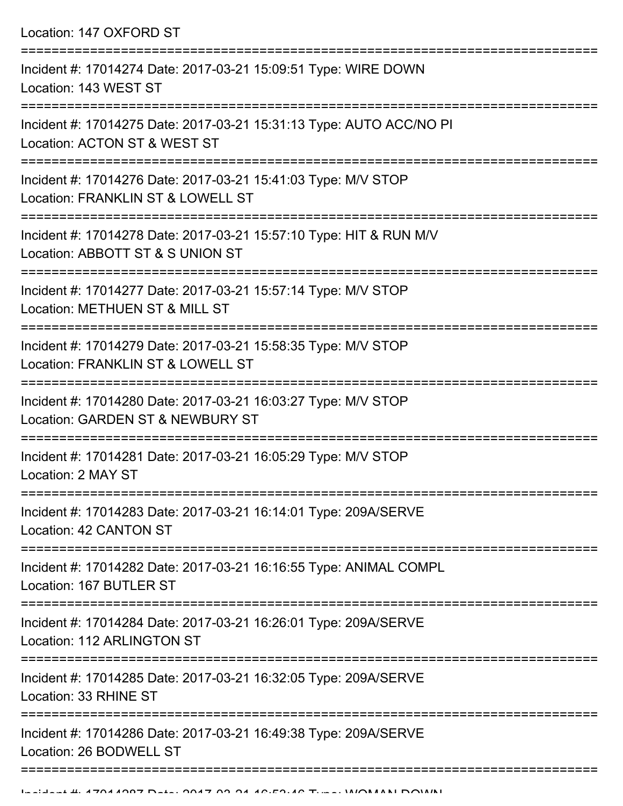Location: 147 OXFORD ST

| Incident #: 17014274 Date: 2017-03-21 15:09:51 Type: WIRE DOWN<br>Location: 143 WEST ST                |
|--------------------------------------------------------------------------------------------------------|
| Incident #: 17014275 Date: 2017-03-21 15:31:13 Type: AUTO ACC/NO PI<br>Location: ACTON ST & WEST ST    |
| Incident #: 17014276 Date: 2017-03-21 15:41:03 Type: M/V STOP<br>Location: FRANKLIN ST & LOWELL ST     |
| Incident #: 17014278 Date: 2017-03-21 15:57:10 Type: HIT & RUN M/V<br>Location: ABBOTT ST & S UNION ST |
| Incident #: 17014277 Date: 2017-03-21 15:57:14 Type: M/V STOP<br>Location: METHUEN ST & MILL ST        |
| Incident #: 17014279 Date: 2017-03-21 15:58:35 Type: M/V STOP<br>Location: FRANKLIN ST & LOWELL ST     |
| Incident #: 17014280 Date: 2017-03-21 16:03:27 Type: M/V STOP<br>Location: GARDEN ST & NEWBURY ST      |
| Incident #: 17014281 Date: 2017-03-21 16:05:29 Type: M/V STOP<br>Location: 2 MAY ST                    |
| Incident #: 17014283 Date: 2017-03-21 16:14:01 Type: 209A/SERVE<br>Location: 42 CANTON ST              |
| Incident #: 17014282 Date: 2017-03-21 16:16:55 Type: ANIMAL COMPL<br>Location: 167 BUTLER ST           |
| Incident #: 17014284 Date: 2017-03-21 16:26:01 Type: 209A/SERVE<br>Location: 112 ARLINGTON ST          |
| Incident #: 17014285 Date: 2017-03-21 16:32:05 Type: 209A/SERVE<br>Location: 33 RHINE ST               |
| Incident #: 17014286 Date: 2017-03-21 16:49:38 Type: 209A/SERVE<br>Location: 26 BODWELL ST             |
|                                                                                                        |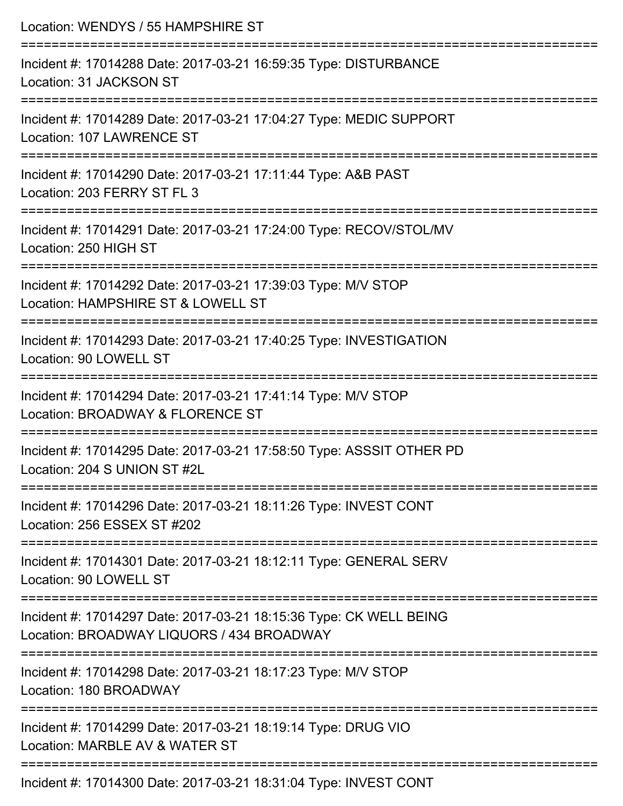| Location: WENDYS / 55 HAMPSHIRE ST                                                                                               |
|----------------------------------------------------------------------------------------------------------------------------------|
| Incident #: 17014288 Date: 2017-03-21 16:59:35 Type: DISTURBANCE<br>Location: 31 JACKSON ST<br>:============================     |
| Incident #: 17014289 Date: 2017-03-21 17:04:27 Type: MEDIC SUPPORT<br>Location: 107 LAWRENCE ST                                  |
| Incident #: 17014290 Date: 2017-03-21 17:11:44 Type: A&B PAST<br>Location: 203 FERRY ST FL 3<br>________________________________ |
| Incident #: 17014291 Date: 2017-03-21 17:24:00 Type: RECOV/STOL/MV<br>Location: 250 HIGH ST                                      |
| Incident #: 17014292 Date: 2017-03-21 17:39:03 Type: M/V STOP<br>Location: HAMPSHIRE ST & LOWELL ST                              |
| Incident #: 17014293 Date: 2017-03-21 17:40:25 Type: INVESTIGATION<br>Location: 90 LOWELL ST                                     |
| Incident #: 17014294 Date: 2017-03-21 17:41:14 Type: M/V STOP<br>Location: BROADWAY & FLORENCE ST                                |
| Incident #: 17014295 Date: 2017-03-21 17:58:50 Type: ASSSIT OTHER PD<br>Location: 204 S UNION ST #2L                             |
| ---------------------------<br>Incident #: 17014296 Date: 2017-03-21 18:11:26 Type: INVEST CONT<br>Location: 256 ESSEX ST #202   |
| Incident #: 17014301 Date: 2017-03-21 18:12:11 Type: GENERAL SERV<br>Location: 90 LOWELL ST                                      |
| Incident #: 17014297 Date: 2017-03-21 18:15:36 Type: CK WELL BEING<br>Location: BROADWAY LIQUORS / 434 BROADWAY                  |
| Incident #: 17014298 Date: 2017-03-21 18:17:23 Type: M/V STOP<br>Location: 180 BROADWAY                                          |
| Incident #: 17014299 Date: 2017-03-21 18:19:14 Type: DRUG VIO<br>Location: MARBLE AV & WATER ST                                  |
| Incident #: 17014300 Date: 2017-03-21 18:31:04 Type: INVEST CONT                                                                 |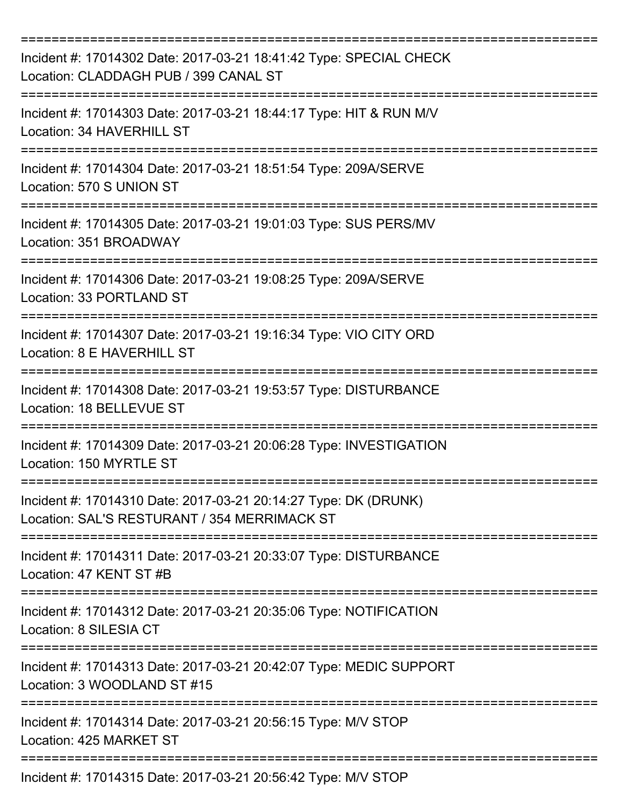| Incident #: 17014302 Date: 2017-03-21 18:41:42 Type: SPECIAL CHECK<br>Location: CLADDAGH PUB / 399 CANAL ST<br>:==================================== |
|------------------------------------------------------------------------------------------------------------------------------------------------------|
| Incident #: 17014303 Date: 2017-03-21 18:44:17 Type: HIT & RUN M/V<br>Location: 34 HAVERHILL ST                                                      |
| Incident #: 17014304 Date: 2017-03-21 18:51:54 Type: 209A/SERVE<br>Location: 570 S UNION ST                                                          |
| Incident #: 17014305 Date: 2017-03-21 19:01:03 Type: SUS PERS/MV<br>Location: 351 BROADWAY                                                           |
| Incident #: 17014306 Date: 2017-03-21 19:08:25 Type: 209A/SERVE<br>Location: 33 PORTLAND ST                                                          |
| Incident #: 17014307 Date: 2017-03-21 19:16:34 Type: VIO CITY ORD<br>Location: 8 E HAVERHILL ST                                                      |
| Incident #: 17014308 Date: 2017-03-21 19:53:57 Type: DISTURBANCE<br>Location: 18 BELLEVUE ST                                                         |
| Incident #: 17014309 Date: 2017-03-21 20:06:28 Type: INVESTIGATION<br>Location: 150 MYRTLE ST                                                        |
| Incident #: 17014310 Date: 2017-03-21 20:14:27 Type: DK (DRUNK)<br>Location: SAL'S RESTURANT / 354 MERRIMACK ST                                      |
| Incident #: 17014311 Date: 2017-03-21 20:33:07 Type: DISTURBANCE<br>Location: 47 KENT ST #B                                                          |
| Incident #: 17014312 Date: 2017-03-21 20:35:06 Type: NOTIFICATION<br>Location: 8 SILESIA CT                                                          |
| Incident #: 17014313 Date: 2017-03-21 20:42:07 Type: MEDIC SUPPORT<br>Location: 3 WOODLAND ST #15                                                    |
| Incident #: 17014314 Date: 2017-03-21 20:56:15 Type: M/V STOP<br>Location: 425 MARKET ST                                                             |
| Incident #: 17014315 Date: 2017-03-21 20:56:42 Type: M/V STOP                                                                                        |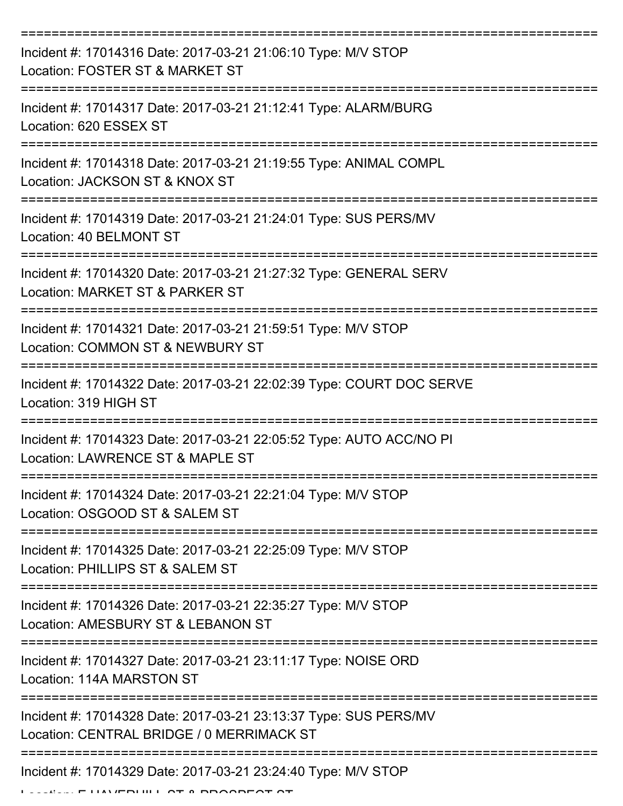| Incident #: 17014316 Date: 2017-03-21 21:06:10 Type: M/V STOP<br>Location: FOSTER ST & MARKET ST              |
|---------------------------------------------------------------------------------------------------------------|
| Incident #: 17014317 Date: 2017-03-21 21:12:41 Type: ALARM/BURG<br>Location: 620 ESSEX ST                     |
| Incident #: 17014318 Date: 2017-03-21 21:19:55 Type: ANIMAL COMPL<br>Location: JACKSON ST & KNOX ST           |
| Incident #: 17014319 Date: 2017-03-21 21:24:01 Type: SUS PERS/MV<br>Location: 40 BELMONT ST                   |
| Incident #: 17014320 Date: 2017-03-21 21:27:32 Type: GENERAL SERV<br>Location: MARKET ST & PARKER ST          |
| Incident #: 17014321 Date: 2017-03-21 21:59:51 Type: M/V STOP<br>Location: COMMON ST & NEWBURY ST             |
| Incident #: 17014322 Date: 2017-03-21 22:02:39 Type: COURT DOC SERVE<br>Location: 319 HIGH ST                 |
| Incident #: 17014323 Date: 2017-03-21 22:05:52 Type: AUTO ACC/NO PI<br>Location: LAWRENCE ST & MAPLE ST       |
| Incident #: 17014324 Date: 2017-03-21 22:21:04 Type: M/V STOP<br>Location: OSGOOD ST & SALEM ST               |
| Incident #: 17014325 Date: 2017-03-21 22:25:09 Type: M/V STOP<br>Location: PHILLIPS ST & SALEM ST             |
| Incident #: 17014326 Date: 2017-03-21 22:35:27 Type: M/V STOP<br>Location: AMESBURY ST & LEBANON ST           |
| Incident #: 17014327 Date: 2017-03-21 23:11:17 Type: NOISE ORD<br>Location: 114A MARSTON ST                   |
| Incident #: 17014328 Date: 2017-03-21 23:13:37 Type: SUS PERS/MV<br>Location: CENTRAL BRIDGE / 0 MERRIMACK ST |
| Incident #: 17014329 Date: 2017-03-21 23:24:40 Type: M/V STOP                                                 |